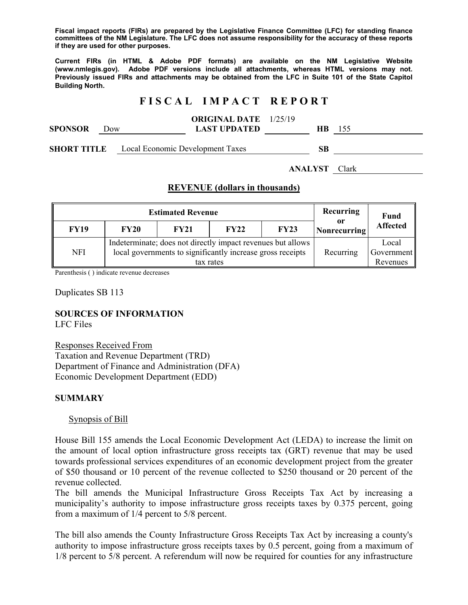**Fiscal impact reports (FIRs) are prepared by the Legislative Finance Committee (LFC) for standing finance committees of the NM Legislature. The LFC does not assume responsibility for the accuracy of these reports if they are used for other purposes.** 

**Current FIRs (in HTML & Adobe PDF formats) are available on the NM Legislative Website (www.nmlegis.gov). Adobe PDF versions include all attachments, whereas HTML versions may not. Previously issued FIRs and attachments may be obtained from the LFC in Suite 101 of the State Capitol Building North.**

# **F I S C A L I M P A C T R E P O R T**

| <b>SPONSOR</b>                                         | Dow |  | <b>ORIGINAL DATE</b> 1/25/19<br><b>LAST UPDATED</b> | HB. | -155 |
|--------------------------------------------------------|-----|--|-----------------------------------------------------|-----|------|
| <b>SHORT TITLE</b><br>Local Economic Development Taxes |     |  | SВ                                                  |     |      |

**ANALYST** Clark

## **REVENUE (dollars in thousands)**

|             | <b>Estimated Revenue</b> | Recurring                                                                                                                              | <b>Fund</b> |                                 |                    |                 |
|-------------|--------------------------|----------------------------------------------------------------------------------------------------------------------------------------|-------------|---------------------------------|--------------------|-----------------|
| <b>FY19</b> | <b>FY20</b>              | <b>FY21</b>                                                                                                                            | <b>FY22</b> | FY23                            | or<br>Nonrecurring | <b>Affected</b> |
| <b>NFI</b>  |                          | Indeterminate; does not directly impact revenues but allows<br>local governments to significantly increase gross receipts<br>tax rates | Recurring   | Local<br>Government<br>Revenues |                    |                 |

Parenthesis ( ) indicate revenue decreases

Duplicates SB 113

## **SOURCES OF INFORMATION**

LFC Files

Responses Received From Taxation and Revenue Department (TRD) Department of Finance and Administration (DFA) Economic Development Department (EDD)

## **SUMMARY**

#### Synopsis of Bill

House Bill 155 amends the Local Economic Development Act (LEDA) to increase the limit on the amount of local option infrastructure gross receipts tax (GRT) revenue that may be used towards professional services expenditures of an economic development project from the greater of \$50 thousand or 10 percent of the revenue collected to \$250 thousand or 20 percent of the revenue collected.

The bill amends the Municipal Infrastructure Gross Receipts Tax Act by increasing a municipality's authority to impose infrastructure gross receipts taxes by 0.375 percent, going from a maximum of 1/4 percent to 5/8 percent.

The bill also amends the County Infrastructure Gross Receipts Tax Act by increasing a county's authority to impose infrastructure gross receipts taxes by 0.5 percent, going from a maximum of 1/8 percent to 5/8 percent. A referendum will now be required for counties for any infrastructure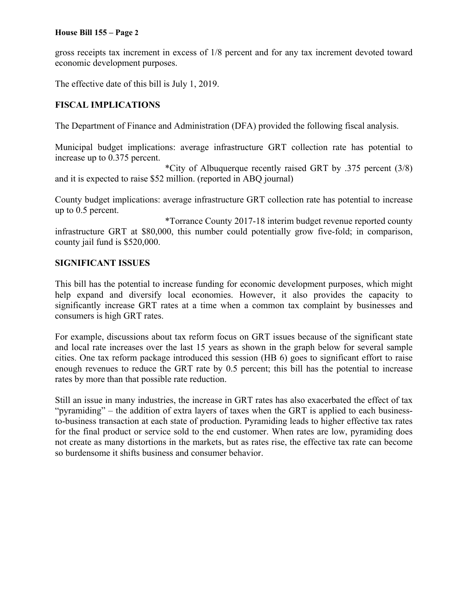#### **House Bill 155 – Page 2**

gross receipts tax increment in excess of 1/8 percent and for any tax increment devoted toward economic development purposes.

The effective date of this bill is July 1, 2019.

# **FISCAL IMPLICATIONS**

The Department of Finance and Administration (DFA) provided the following fiscal analysis.

Municipal budget implications: average infrastructure GRT collection rate has potential to increase up to 0.375 percent.

 \*City of Albuquerque recently raised GRT by .375 percent (3/8) and it is expected to raise \$52 million. (reported in ABQ journal)

County budget implications: average infrastructure GRT collection rate has potential to increase up to 0.5 percent.

 \*Torrance County 2017-18 interim budget revenue reported county infrastructure GRT at \$80,000, this number could potentially grow five-fold; in comparison, county jail fund is \$520,000.

## **SIGNIFICANT ISSUES**

This bill has the potential to increase funding for economic development purposes, which might help expand and diversify local economies. However, it also provides the capacity to significantly increase GRT rates at a time when a common tax complaint by businesses and consumers is high GRT rates.

For example, discussions about tax reform focus on GRT issues because of the significant state and local rate increases over the last 15 years as shown in the graph below for several sample cities. One tax reform package introduced this session (HB 6) goes to significant effort to raise enough revenues to reduce the GRT rate by 0.5 percent; this bill has the potential to increase rates by more than that possible rate reduction.

Still an issue in many industries, the increase in GRT rates has also exacerbated the effect of tax "pyramiding" – the addition of extra layers of taxes when the GRT is applied to each businessto-business transaction at each state of production. Pyramiding leads to higher effective tax rates for the final product or service sold to the end customer. When rates are low, pyramiding does not create as many distortions in the markets, but as rates rise, the effective tax rate can become so burdensome it shifts business and consumer behavior.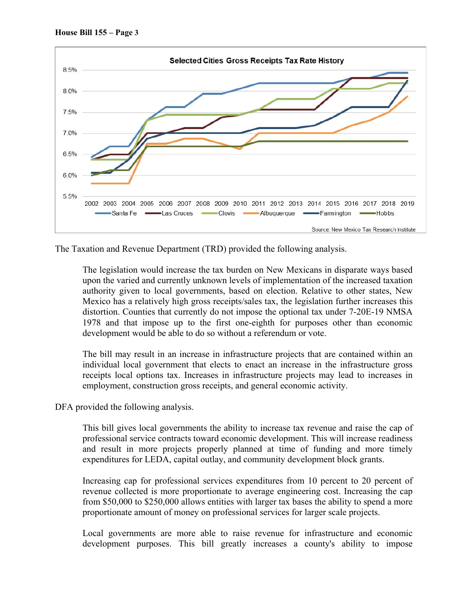

The Taxation and Revenue Department (TRD) provided the following analysis.

The legislation would increase the tax burden on New Mexicans in disparate ways based upon the varied and currently unknown levels of implementation of the increased taxation authority given to local governments, based on election. Relative to other states, New Mexico has a relatively high gross receipts/sales tax, the legislation further increases this distortion. Counties that currently do not impose the optional tax under 7-20E-19 NMSA 1978 and that impose up to the first one-eighth for purposes other than economic development would be able to do so without a referendum or vote.

The bill may result in an increase in infrastructure projects that are contained within an individual local government that elects to enact an increase in the infrastructure gross receipts local options tax. Increases in infrastructure projects may lead to increases in employment, construction gross receipts, and general economic activity.

DFA provided the following analysis.

This bill gives local governments the ability to increase tax revenue and raise the cap of professional service contracts toward economic development. This will increase readiness and result in more projects properly planned at time of funding and more timely expenditures for LEDA, capital outlay, and community development block grants.

Increasing cap for professional services expenditures from 10 percent to 20 percent of revenue collected is more proportionate to average engineering cost. Increasing the cap from \$50,000 to \$250,000 allows entities with larger tax bases the ability to spend a more proportionate amount of money on professional services for larger scale projects.

Local governments are more able to raise revenue for infrastructure and economic development purposes. This bill greatly increases a county's ability to impose